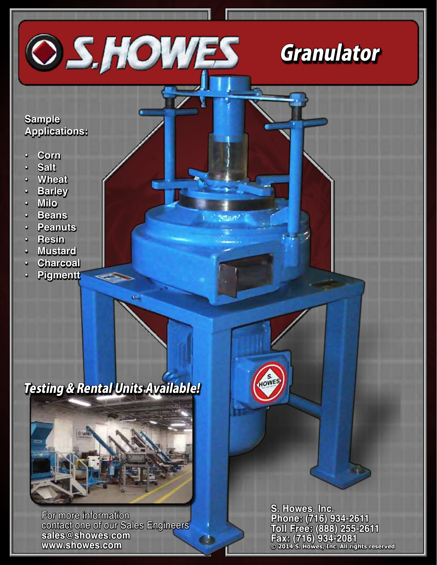

## **Sample Applications:**

- **• Corn**
- **• Salt**
- **• Wheat**
- **• Barley**
- **• Milo**
- **• Beans**
- **• Peanuts**
- **• Resin**
- **• Mustard**
- **Charcoal**
- **• Pigmentt**

## Testing & Rental Units Available!



For more information contact one of our Sales Engineers **sales@showes.com www.showes.com**

**S. Howes. Inc. Phone: (716) 934-2611 Toll Free: (888) 255-2611 Fax: (716) 934-2081 © 2014 S. Howes, Inc. All rights reserved**